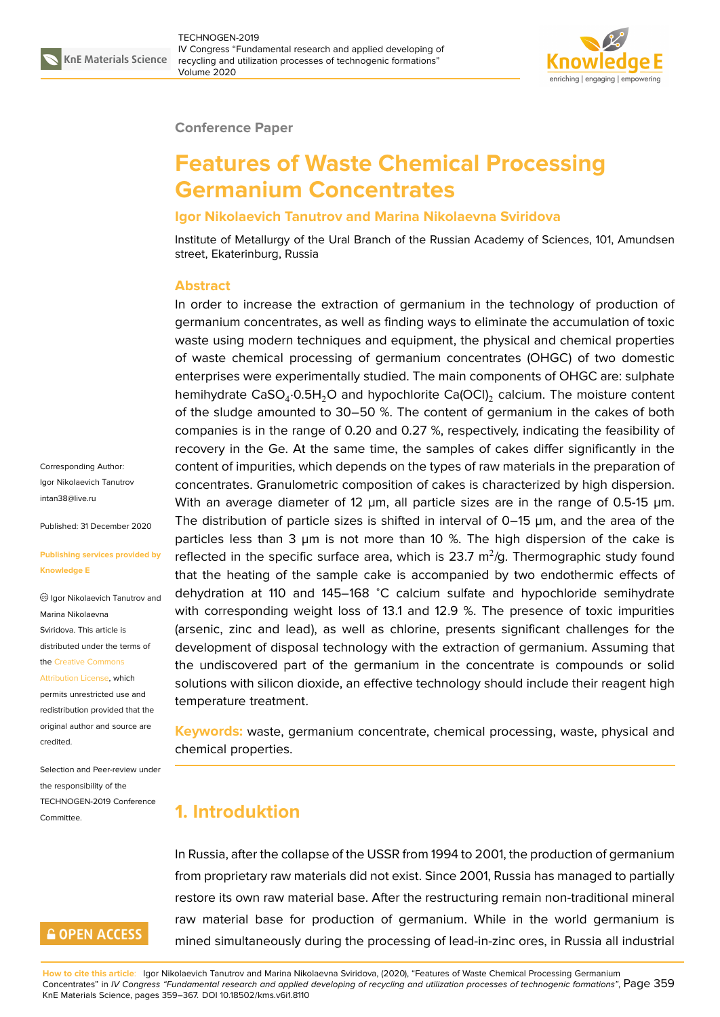

#### **Conference Paper**

# **Features of Waste Chemical Processing Germanium Concentrates**

### **Igor Nikolaevich Tanutrov and Marina Nikolaevna Sviridova**

Institute of Metallurgy of the Ural Branch of the Russian Academy of Sciences, 101, Amundsen street, Ekaterinburg, Russia

#### **Abstract**

In order to increase the extraction of germanium in the technology of production of germanium concentrates, as well as finding ways to eliminate the accumulation of toxic waste using modern techniques and equipment, the physical and chemical properties of waste chemical processing of germanium concentrates (OHGC) of two domestic enterprises were experimentally studied. The main components of OHGC are: sulphate hemihydrate CaSO<sub>4</sub>:0.5H<sub>2</sub>O and hypochlorite Ca(OCI)<sub>2</sub> calcium. The moisture content of the sludge amounted to 30–50 %. The content of germanium in the cakes of both companies is in the range of 0.20 and 0.27 %, respectively, indicating the feasibility of recovery in the Ge. At the same time, the samples of cakes differ significantly in the content of impurities, which depends on the types of raw materials in the preparation of concentrates. Granulometric composition of cakes is characterized by high dispersion. With an average diameter of 12  $\mu$ m, all particle sizes are in the range of 0.5-15  $\mu$ m. The distribution of particle sizes is shifted in interval of 0–15 µm, and the area of the particles less than 3  $\mu$ m is not more than 10 %. The high dispersion of the cake is reflected in the specific surface area, which is 23.7  $\mathrm{m}^2/\mathrm{g}$ . Thermographic study found that the heating of the sample cake is accompanied by two endothermic effects of dehydration at 110 and 145–168 <sup>∘</sup>C calcium sulfate and hypochloride semihydrate with corresponding weight loss of 13.1 and 12.9 %. The presence of toxic impurities (arsenic, zinc and lead), as well as chlorine, presents significant challenges for the development of disposal technology with the extraction of germanium. Assuming that the undiscovered part of the germanium in the concentrate is compounds or solid solutions with silicon dioxide, an effective technology should include their reagent high temperature treatment.

**Keywords:** waste, germanium concentrate, chemical processing, waste, physical and chemical properties.

## **1. Introduktion**

In Russia, after the collapse of the USSR from 1994 to 2001, the production of germanium from proprietary raw materials did not exist. Since 2001, Russia has managed to partially restore its own raw material base. After the restructuring remain non-traditional mineral raw material base for production of germanium. While in the world germanium is mined simultaneously during the processing of lead-in-zinc ores, in Russia all industrial

**How to cite this article**: Igor Nikolaevich Tanutrov and Marina Nikolaevna Sviridova, (2020), "Features of Waste Chemical Processing Germanium Concentrates" in *IV Congress "Fundamental research and applied developing of recycling and utilization processes of technogenic formations"*, Page 359 KnE Materials Science, pages 359–367. DOI 10.18502/kms.v6i1.8110

#### Corresponding Author: Igor Nikolaevich Tanutrov intan38@live.ru

Published: 31 December 2020

#### **[Publishing serv](mailto:intan38@live.ru)ices provided by Knowledge E**

Igor Nikolaevich Tanutrov and Marina Nikolaevna Sviridova. This article is distributed under the terms of the Creative Commons

Attribution License, which permits unrestricted use and

redistribution provided that the orig[inal author and sou](https://creativecommons.org/licenses/by/4.0/)rce are [credited.](https://creativecommons.org/licenses/by/4.0/)

Selection and Peer-review under the responsibility of the TECHNOGEN-2019 Conference Committee.

### **GOPEN ACCESS**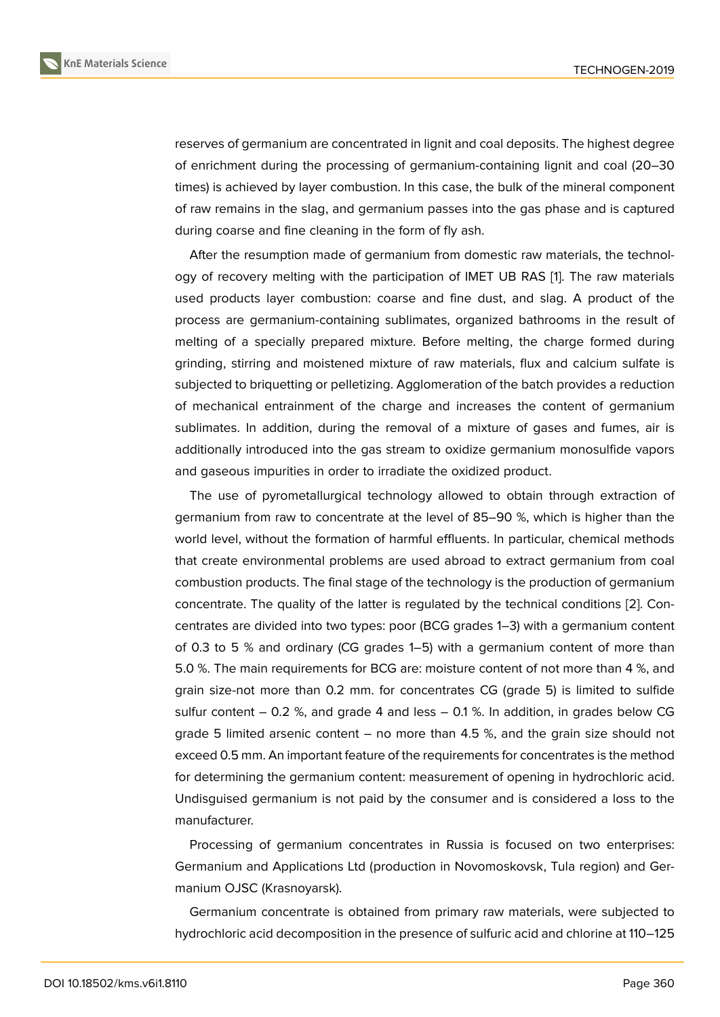reserves of germanium are concentrated in lignit and coal deposits. The highest degree of enrichment during the processing of germanium-containing lignit and coal (20–30 times) is achieved by layer combustion. In this case, the bulk of the mineral component of raw remains in the slag, and germanium passes into the gas phase and is captured during coarse and fine cleaning in the form of fly ash.

After the resumption made of germanium from domestic raw materials, the technology of recovery melting with the participation of IMET UB RAS [1]. The raw materials used products layer combustion: coarse and fine dust, and slag. A product of the process are germanium-containing sublimates, organized bathrooms in the result of melting of a specially prepared mixture. Before melting, the c[ha](#page-8-0)rge formed during grinding, stirring and moistened mixture of raw materials, flux and calcium sulfate is subjected to briquetting or pelletizing. Agglomeration of the batch provides a reduction of mechanical entrainment of the charge and increases the content of germanium sublimates. In addition, during the removal of a mixture of gases and fumes, air is additionally introduced into the gas stream to oxidize germanium monosulfide vapors and gaseous impurities in order to irradiate the oxidized product.

The use of pyrometallurgical technology allowed to obtain through extraction of germanium from raw to concentrate at the level of 85–90 %, which is higher than the world level, without the formation of harmful effluents. In particular, chemical methods that create environmental problems are used abroad to extract germanium from coal combustion products. The final stage of the technology is the production of germanium concentrate. The quality of the latter is regulated by the technical conditions [2]. Concentrates are divided into two types: poor (BCG grades 1–3) with a germanium content of 0.3 to 5 % and ordinary (CG grades 1–5) with a germanium content of more than 5.0 %. The main requirements for BCG are: moisture content of not more than [4 %](#page-8-1), and grain size-not more than 0.2 mm. for concentrates CG (grade 5) is limited to sulfide sulfur content  $-0.2$  %, and grade 4 and less  $-0.1$  %. In addition, in grades below CG grade 5 limited arsenic content  $-$  no more than 4.5 %, and the grain size should not exceed 0.5 mm. An important feature of the requirements for concentrates is the method for determining the germanium content: measurement of opening in hydrochloric acid. Undisguised germanium is not paid by the consumer and is considered a loss to the manufacturer.

Processing of germanium concentrates in Russia is focused on two enterprises: Germanium and Applications Ltd (production in Novomoskovsk, Tula region) and Germanium OJSC (Krasnoyarsk).

Germanium concentrate is obtained from primary raw materials, were subjected to hydrochloric acid decomposition in the presence of sulfuric acid and chlorine at 110–125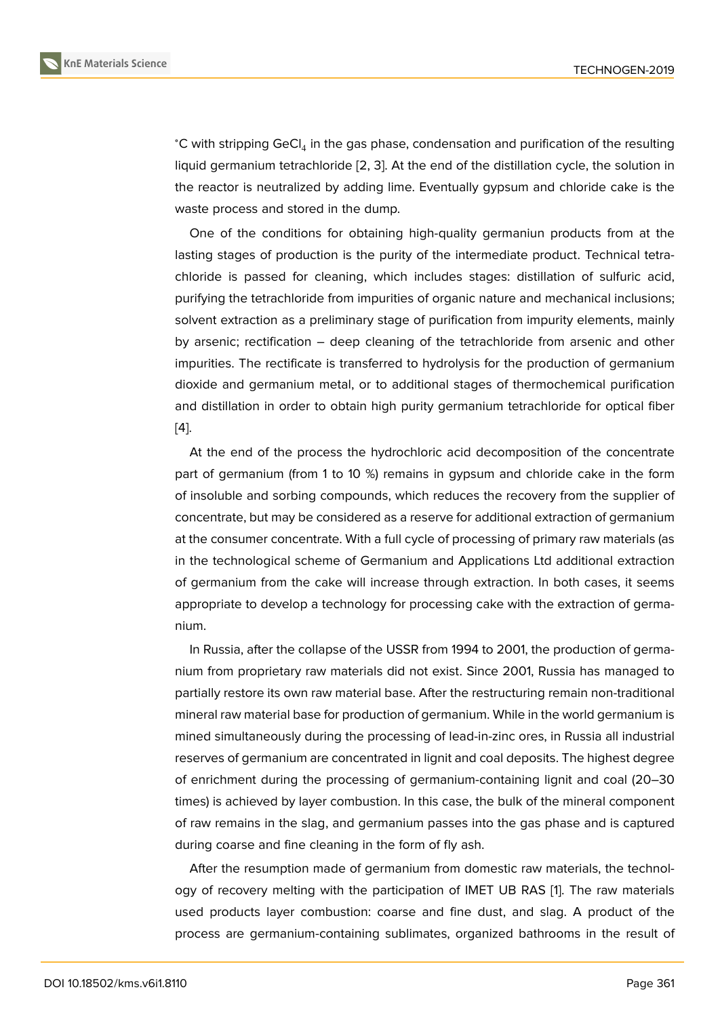°C with stripping GeCl<sub>4</sub> in the gas phase, condensation and purification of the resulting liquid germanium tetrachloride [2, 3]. At the end of the distillation cycle, the solution in the reactor is neutralized by adding lime. Eventually gypsum and chloride cake is the waste process and stored in the dump.

One of the conditions for o[bt](#page-8-1)[ain](#page-8-2)ing high-quality germaniun products from at the lasting stages of production is the purity of the intermediate product. Technical tetrachloride is passed for cleaning, which includes stages: distillation of sulfuric acid, purifying the tetrachloride from impurities of organic nature and mechanical inclusions; solvent extraction as a preliminary stage of purification from impurity elements, mainly by arsenic; rectification – deep cleaning of the tetrachloride from arsenic and other impurities. The rectificate is transferred to hydrolysis for the production of germanium dioxide and germanium metal, or to additional stages of thermochemical purification and distillation in order to obtain high purity germanium tetrachloride for optical fiber [4].

At the end of the process the hydrochloric acid decomposition of the concentrate part of germanium (from 1 to 10 %) remains in gypsum and chloride cake in the form [of](#page-8-3) insoluble and sorbing compounds, which reduces the recovery from the supplier of concentrate, but may be considered as a reserve for additional extraction of germanium at the consumer concentrate. With a full cycle of processing of primary raw materials (as in the technological scheme of Germanium and Applications Ltd additional extraction of germanium from the cake will increase through extraction. In both cases, it seems appropriate to develop a technology for processing cake with the extraction of germanium.

In Russia, after the collapse of the USSR from 1994 to 2001, the production of germanium from proprietary raw materials did not exist. Since 2001, Russia has managed to partially restore its own raw material base. After the restructuring remain non-traditional mineral raw material base for production of germanium. While in the world germanium is mined simultaneously during the processing of lead-in-zinc ores, in Russia all industrial reserves of germanium are concentrated in lignit and coal deposits. The highest degree of enrichment during the processing of germanium-containing lignit and coal (20–30 times) is achieved by layer combustion. In this case, the bulk of the mineral component of raw remains in the slag, and germanium passes into the gas phase and is captured during coarse and fine cleaning in the form of fly ash.

After the resumption made of germanium from domestic raw materials, the technology of recovery melting with the participation of IMET UB RAS [1]. The raw materials used products layer combustion: coarse and fine dust, and slag. A product of the process are germanium-containing sublimates, organized bathrooms in the result of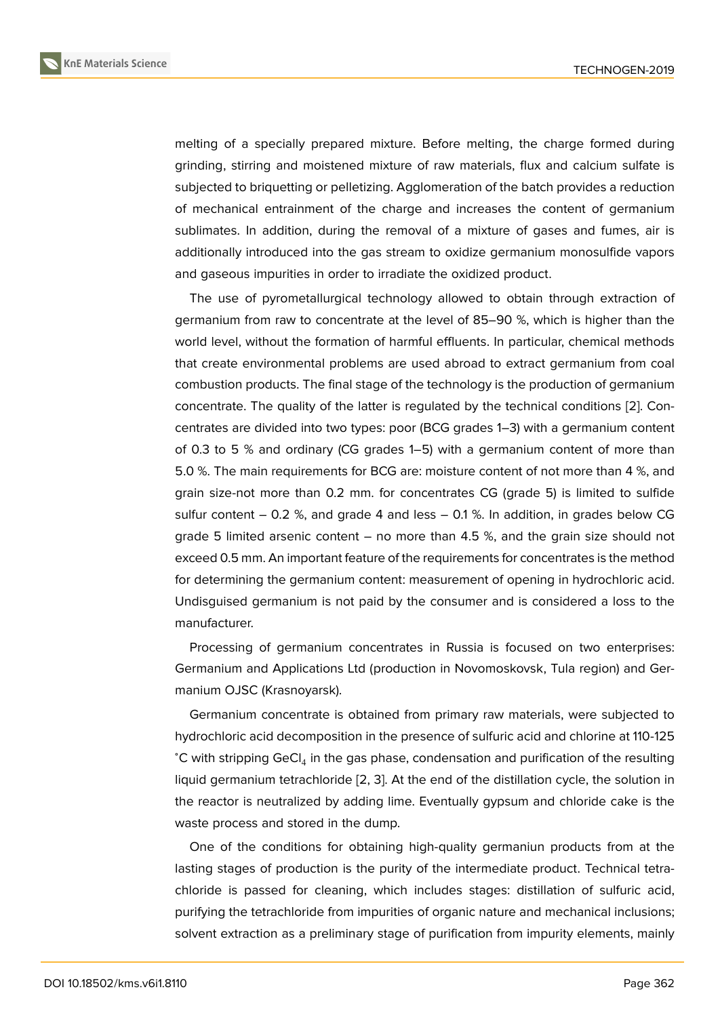melting of a specially prepared mixture. Before melting, the charge formed during grinding, stirring and moistened mixture of raw materials, flux and calcium sulfate is subjected to briquetting or pelletizing. Agglomeration of the batch provides a reduction of mechanical entrainment of the charge and increases the content of germanium sublimates. In addition, during the removal of a mixture of gases and fumes, air is additionally introduced into the gas stream to oxidize germanium monosulfide vapors and gaseous impurities in order to irradiate the oxidized product.

The use of pyrometallurgical technology allowed to obtain through extraction of germanium from raw to concentrate at the level of 85–90 %, which is higher than the world level, without the formation of harmful effluents. In particular, chemical methods that create environmental problems are used abroad to extract germanium from coal combustion products. The final stage of the technology is the production of germanium concentrate. The quality of the latter is regulated by the technical conditions [2]. Concentrates are divided into two types: poor (BCG grades 1–3) with a germanium content of 0.3 to 5 % and ordinary (CG grades 1–5) with a germanium content of more than 5.0 %. The main requirements for BCG are: moisture content of not more than [4 %](#page-8-1), and grain size-not more than 0.2 mm. for concentrates CG (grade 5) is limited to sulfide sulfur content  $-0.2$  %, and grade 4 and less  $-0.1$  %. In addition, in grades below CG grade 5 limited arsenic content – no more than 4.5 %, and the grain size should not exceed 0.5 mm. An important feature of the requirements for concentrates is the method for determining the germanium content: measurement of opening in hydrochloric acid. Undisguised germanium is not paid by the consumer and is considered a loss to the manufacturer.

Processing of germanium concentrates in Russia is focused on two enterprises: Germanium and Applications Ltd (production in Novomoskovsk, Tula region) and Germanium OJSC (Krasnoyarsk).

Germanium concentrate is obtained from primary raw materials, were subjected to hydrochloric acid decomposition in the presence of sulfuric acid and chlorine at 110-125 °C with stripping GeCl<sub>4</sub> in the gas phase, condensation and purification of the resulting liquid germanium tetrachloride [2, 3]. At the end of the distillation cycle, the solution in the reactor is neutralized by adding lime. Eventually gypsum and chloride cake is the waste process and stored in the dump.

One of the conditions for o[bt](#page-8-1)[ain](#page-8-2)ing high-quality germaniun products from at the lasting stages of production is the purity of the intermediate product. Technical tetrachloride is passed for cleaning, which includes stages: distillation of sulfuric acid, purifying the tetrachloride from impurities of organic nature and mechanical inclusions; solvent extraction as a preliminary stage of purification from impurity elements, mainly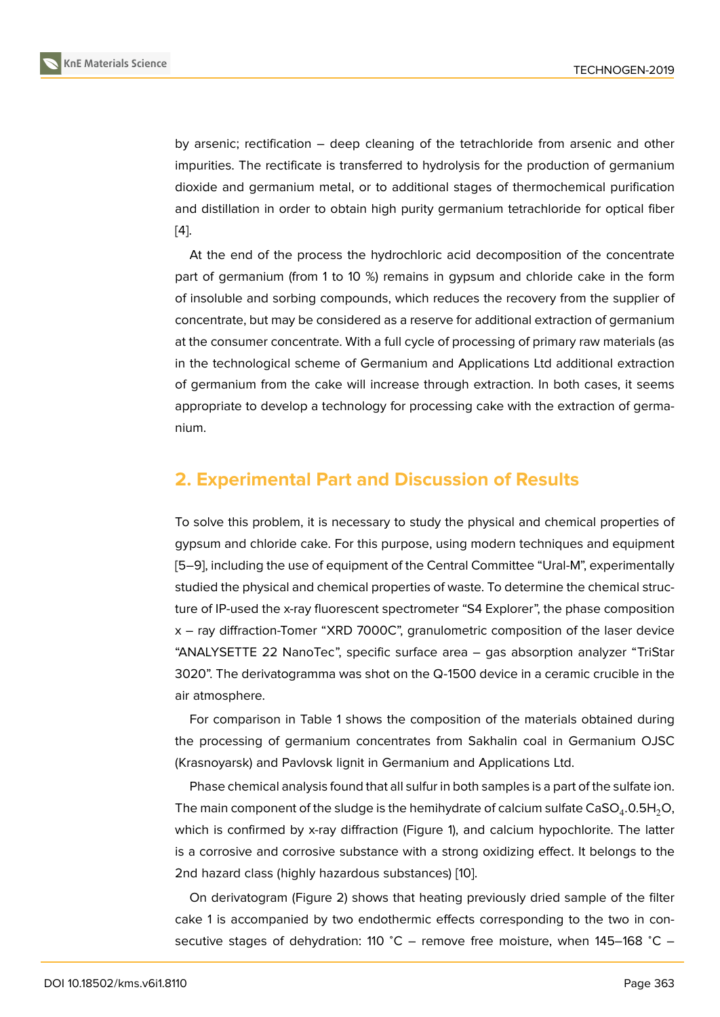by arsenic; rectification – deep cleaning of the tetrachloride from arsenic and other impurities. The rectificate is transferred to hydrolysis for the production of germanium dioxide and germanium metal, or to additional stages of thermochemical purification and distillation in order to obtain high purity germanium tetrachloride for optical fiber [4].

At the end of the process the hydrochloric acid decomposition of the concentrate part of germanium (from 1 to 10 %) remains in gypsum and chloride cake in the form [of](#page-8-3) insoluble and sorbing compounds, which reduces the recovery from the supplier of concentrate, but may be considered as a reserve for additional extraction of germanium at the consumer concentrate. With a full cycle of processing of primary raw materials (as in the technological scheme of Germanium and Applications Ltd additional extraction of germanium from the cake will increase through extraction. In both cases, it seems appropriate to develop a technology for processing cake with the extraction of germanium.

## **2. Experimental Part and Discussion of Results**

To solve this problem, it is necessary to study the physical and chemical properties of gypsum and chloride cake. For this purpose, using modern techniques and equipment [5–9], including the use of equipment of the Central Committee "Ural-M", experimentally studied the physical and chemical properties of waste. To determine the chemical structure of IP-used the x-ray fluorescent spectrometer "S4 Explorer", the phase composition [x –](#page-8-4) [r](#page-8-5)ay diffraction-Tomer "XRD 7000C", granulometric composition of the laser device "ANALYSETTE 22 NanoTec", specific surface area – gas absorption analyzer "TriStar 3020". The derivatogramma was shot on the Q-1500 device in a ceramic crucible in the air atmosphere.

For comparison in Table 1 shows the composition of the materials obtained during the processing of germanium concentrates from Sakhalin coal in Germanium OJSC (Krasnoyarsk) and Pavlovsk lignit in Germanium and Applications Ltd.

Phase chemical analysis found that all sulfur in both samples is a part of the sulfate ion. The main component of the sludge is the hemihydrate of calcium sulfate CaSO $_4$ .0.5H $_2$ O, which is confirmed by x-ray diffraction (Figure 1), and calcium hypochlorite. The latter is a corrosive and corrosive substance with a strong oxidizing effect. It belongs to the 2nd hazard class (highly hazardous substances) [10].

On derivatogram (Figure 2) shows that heati[n](#page-5-0)g previously dried sample of the filter cake 1 is accompanied by two endothermic effects corresponding to the two in consecutive stages of dehydration: 110 °C – remov[e f](#page-8-6)ree moisture, when 145-168 °C –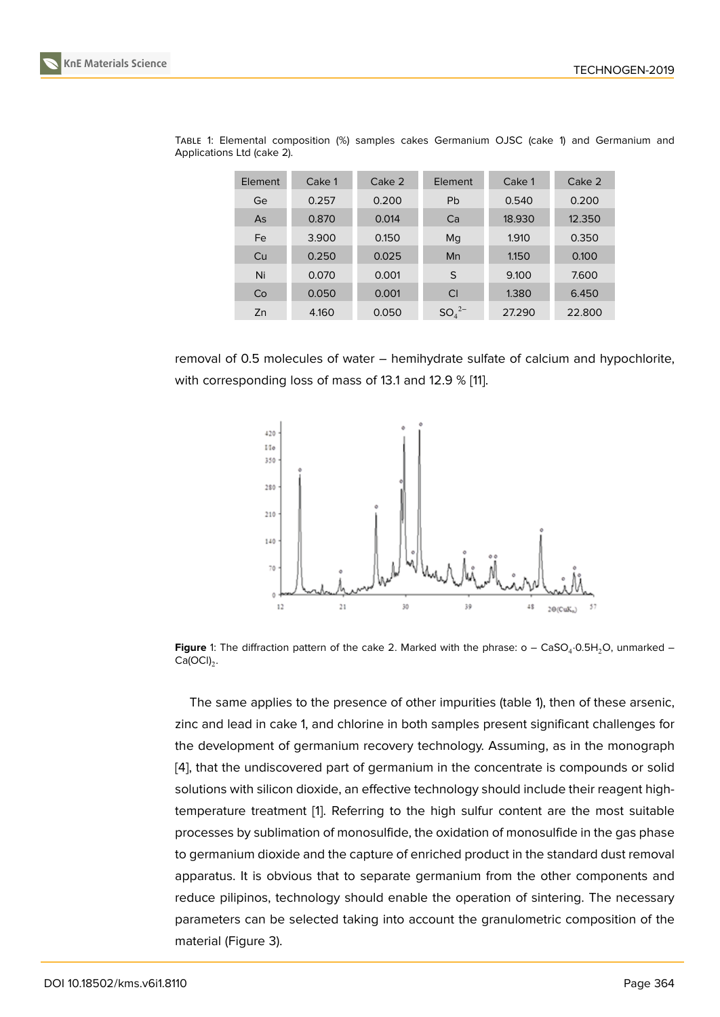| Element | Cake 1 | Cake 2 | Element               | Cake 1 | Cake 2 |
|---------|--------|--------|-----------------------|--------|--------|
| Ge      | 0.257  | 0.200  | <b>Pb</b>             | 0.540  | 0.200  |
| As      | 0.870  | 0.014  | Ca                    | 18.930 | 12.350 |
| Fe      | 3.900  | 0.150  | Mq                    | 1.910  | 0.350  |
| Cu      | 0.250  | 0.025  | Mn                    | 1.150  | 0.100  |
| Ni      | 0.070  | 0.001  | S                     | 9.100  | 7.600  |
| Co      | 0.050  | 0.001  | Cl                    | 1.380  | 6.450  |
| Zn      | 4.160  | 0.050  | $SO_4^2$ <sup>-</sup> | 27.290 | 22,800 |

TABLE 1: Elemental composition (%) samples cakes Germanium OJSC (cake 1) and Germanium and Applications Ltd (cake 2).

removal of 0.5 molecules of water – hemihydrate sulfate of calcium and hypochlorite, with corresponding loss of mass of 13.1 and 12.9 % [11].



**Figure** 1: The diffraction pattern of the cake 2. Marked with the phrase: o – CaSO<sub>4</sub>.0.5H<sub>2</sub>O, unmarked –  $Ca(OCl)<sub>2</sub>$ .

<span id="page-5-0"></span>The same applies to the presence of other impurities (table 1), then of these arsenic, zinc and lead in cake 1, and chlorine in both samples present significant challenges for the development of germanium recovery technology. Assuming, as in the monograph [4], that the undiscovered part of germanium in the concentrate is compounds or solid solutions with silicon dioxide, an effective technology should include their reagent hightemperature treatment [1]. Referring to the high sulfur content are the most suitable [pr](#page-8-3)ocesses by sublimation of monosulfide, the oxidation of monosulfide in the gas phase to germanium dioxide and the capture of enriched product in the standard dust removal apparatus. It is obvious [t](#page-8-0)hat to separate germanium from the other components and reduce pilipinos, technology should enable the operation of sintering. The necessary parameters can be selected taking into account the granulometric composition of the material (Figure 3).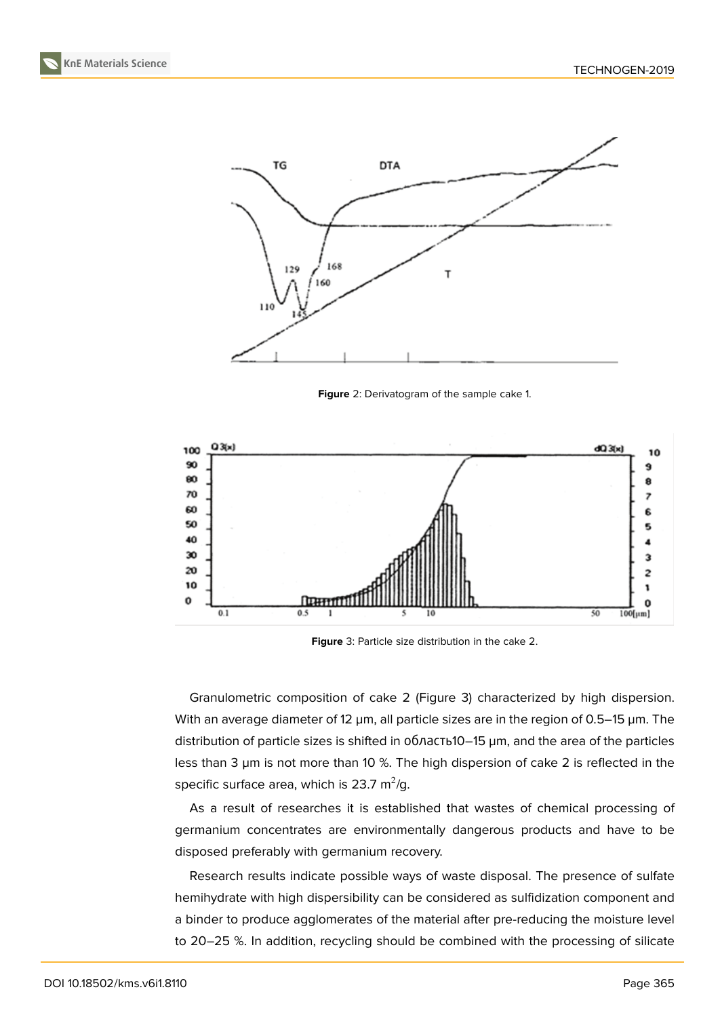

**Figure** 2: Derivatogram of the sample cake 1.



<span id="page-6-0"></span>**Figure** 3: Particle size distribution in the cake 2.

Granulometric composition of cake 2 (Figure 3) characterized by high dispersion. With an average diameter of 12  $\mu$ m, all particle sizes are in the region of 0.5–15  $\mu$ m. The distribution of particle sizes is shifted in область10–15 µm, and the area of the particles less than 3 µm is not more than 10 %. The high d[isp](#page-6-0)ersion of cake 2 is reflected in the specific surface area, which is 23.7 m $^2$ /g.

As a result of researches it is established that wastes of chemical processing of germanium concentrates are environmentally dangerous products and have to be disposed preferably with germanium recovery.

Research results indicate possible ways of waste disposal. The presence of sulfate hemihydrate with high dispersibility can be considered as sulfidization component and a binder to produce agglomerates of the material after pre-reducing the moisture level to 20–25 %. In addition, recycling should be combined with the processing of silicate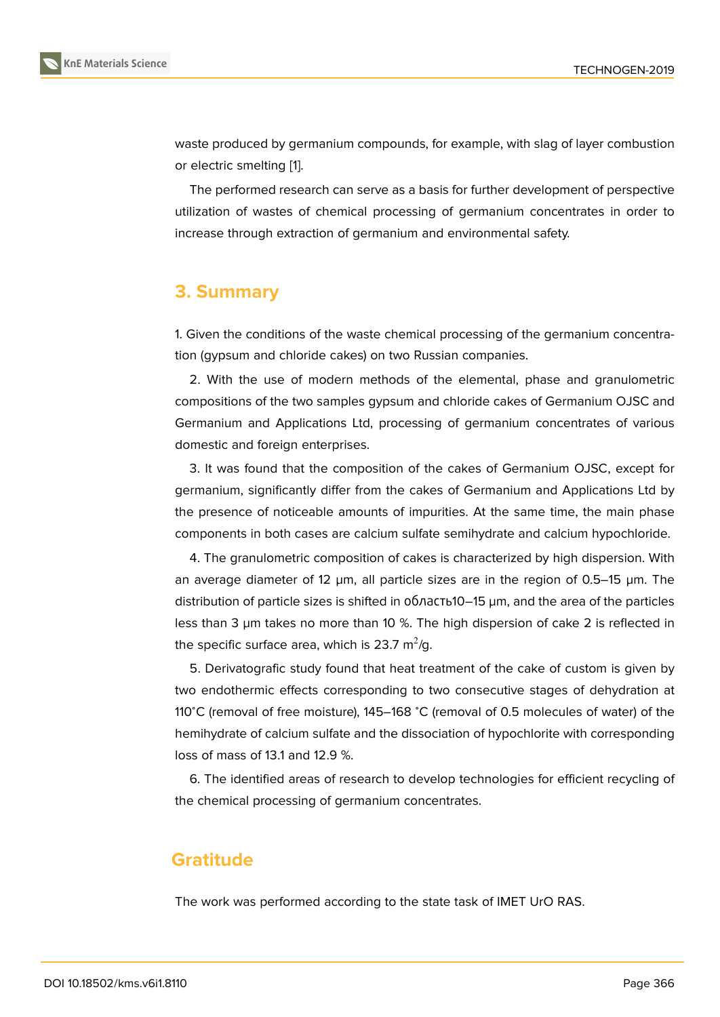waste produced by germanium compounds, for example, with slag of layer combustion or electric smelting [1].

The performed research can serve as a basis for further development of perspective utilization of wastes of chemical processing of germanium concentrates in order to increase through ex[tr](#page-8-0)action of germanium and environmental safety.

### **3. Summary**

1. Given the conditions of the waste chemical processing of the germanium concentration (gypsum and chloride cakes) on two Russian companies.

2. With the use of modern methods of the elemental, phase and granulometric compositions of the two samples gypsum and chloride cakes of Germanium OJSC and Germanium and Applications Ltd, processing of germanium concentrates of various domestic and foreign enterprises.

3. It was found that the composition of the cakes of Germanium OJSC, except for germanium, significantly differ from the cakes of Germanium and Applications Ltd by the presence of noticeable amounts of impurities. At the same time, the main phase components in both cases are calcium sulfate semihydrate and calcium hypochloride.

4. The granulometric composition of cakes is characterized by high dispersion. With an average diameter of 12  $\mu$ m, all particle sizes are in the region of 0.5–15  $\mu$ m. The distribution of particle sizes is shifted in область10–15 µm, and the area of the particles less than 3 µm takes no more than 10 %. The high dispersion of cake 2 is reflected in the specific surface area, which is 23.7  $\mathrm{m}^2/\mathrm{g}.$ 

5. Derivatografic study found that heat treatment of the cake of custom is given by two endothermic effects corresponding to two consecutive stages of dehydration at 110<sup>∘</sup>C (removal of free moisture), 145–168 <sup>∘</sup>C (removal of 0.5 molecules of water) of the hemihydrate of calcium sulfate and the dissociation of hypochlorite with corresponding loss of mass of 13.1 and 12.9 %.

6. The identified areas of research to develop technologies for efficient recycling of the chemical processing of germanium concentrates.

### **Gratitude**

The work was performed according to the state task of IMET UrO RAS.